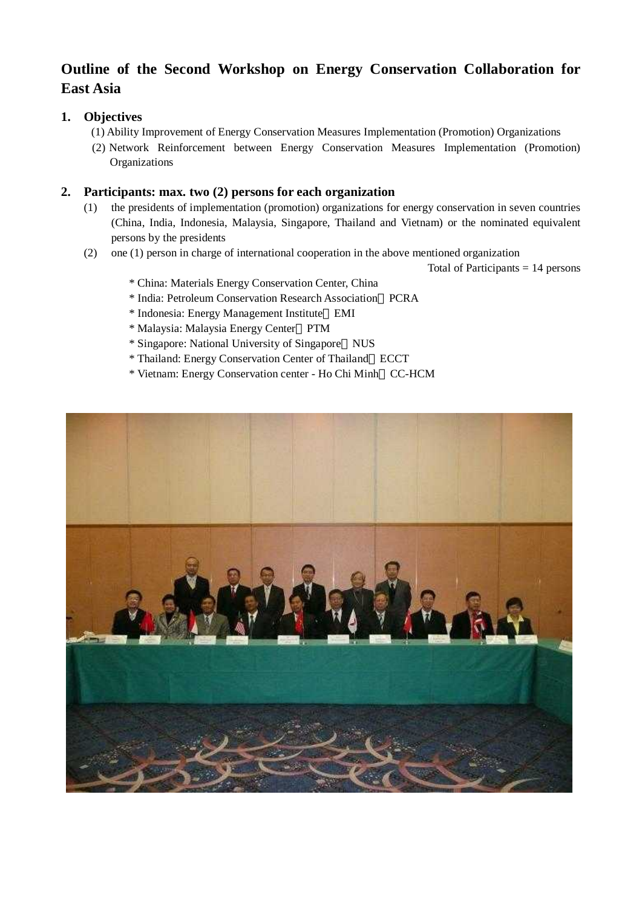# **Outline of the Second Workshop on Energy Conservation Collaboration for East Asia**

## **1. Objectives**

- (1) Ability Improvement of Energy Conservation Measures Implementation (Promotion) Organizations
- (2) Network Reinforcement between Energy Conservation Measures Implementation (Promotion) **Organizations**

#### **2. Participants: max. two (2) persons for each organization**

- (1) the presidents of implementation (promotion) organizations for energy conservation in seven countries (China, India, Indonesia, Malaysia, Singapore, Thailand and Vietnam) or the nominated equivalent persons by the presidents
- (2) one (1) person in charge of international cooperation in the above mentioned organization

Total of Participants  $= 14$  persons

- \* China: Materials Energy Conservation Center, China
- \* India: Petroleum Conservation Research Association PCRA
- \* Indonesia: Energy Management Institute EMI
- \* Malaysia: Malaysia Energy Center PTM
- \* Singapore: National University of Singapore NUS
- \* Thailand: Energy Conservation Center of Thailand ECCT
- \* Vietnam: Energy Conservation center Ho Chi Minh CC-HCM